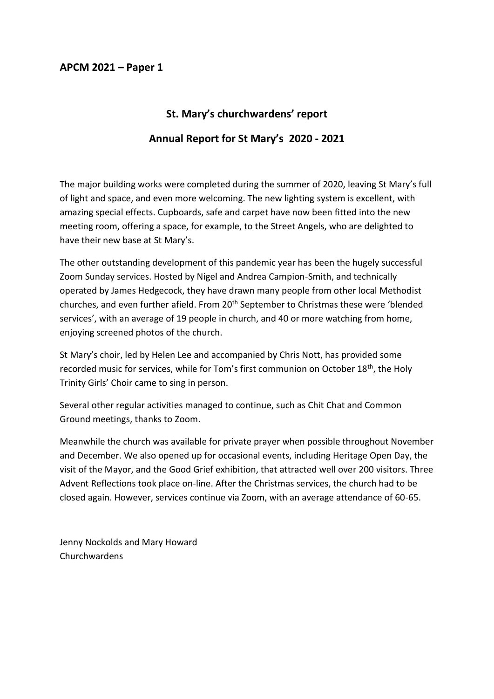### **APCM 2021 – Paper 1**

## **St. Mary's churchwardens' report**

## **Annual Report for St Mary's 2020 - 2021**

The major building works were completed during the summer of 2020, leaving St Mary's full of light and space, and even more welcoming. The new lighting system is excellent, with amazing special effects. Cupboards, safe and carpet have now been fitted into the new meeting room, offering a space, for example, to the Street Angels, who are delighted to have their new base at St Mary's.

The other outstanding development of this pandemic year has been the hugely successful Zoom Sunday services. Hosted by Nigel and Andrea Campion-Smith, and technically operated by James Hedgecock, they have drawn many people from other local Methodist churches, and even further afield. From 20<sup>th</sup> September to Christmas these were 'blended services', with an average of 19 people in church, and 40 or more watching from home, enjoying screened photos of the church.

St Mary's choir, led by Helen Lee and accompanied by Chris Nott, has provided some recorded music for services, while for Tom's first communion on October 18<sup>th</sup>, the Holy Trinity Girls' Choir came to sing in person.

Several other regular activities managed to continue, such as Chit Chat and Common Ground meetings, thanks to Zoom.

Meanwhile the church was available for private prayer when possible throughout November and December. We also opened up for occasional events, including Heritage Open Day, the visit of the Mayor, and the Good Grief exhibition, that attracted well over 200 visitors. Three Advent Reflections took place on-line. After the Christmas services, the church had to be closed again. However, services continue via Zoom, with an average attendance of 60-65.

Jenny Nockolds and Mary Howard Churchwardens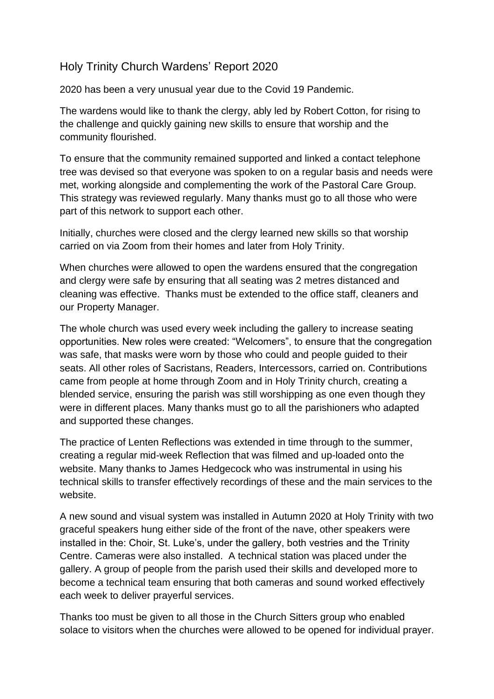# Holy Trinity Church Wardens' Report 2020

2020 has been a very unusual year due to the Covid 19 Pandemic.

The wardens would like to thank the clergy, ably led by Robert Cotton, for rising to the challenge and quickly gaining new skills to ensure that worship and the community flourished.

To ensure that the community remained supported and linked a contact telephone tree was devised so that everyone was spoken to on a regular basis and needs were met, working alongside and complementing the work of the Pastoral Care Group. This strategy was reviewed regularly. Many thanks must go to all those who were part of this network to support each other.

Initially, churches were closed and the clergy learned new skills so that worship carried on via Zoom from their homes and later from Holy Trinity.

When churches were allowed to open the wardens ensured that the congregation and clergy were safe by ensuring that all seating was 2 metres distanced and cleaning was effective. Thanks must be extended to the office staff, cleaners and our Property Manager.

The whole church was used every week including the gallery to increase seating opportunities. New roles were created: "Welcomers", to ensure that the congregation was safe, that masks were worn by those who could and people guided to their seats. All other roles of Sacristans, Readers, Intercessors, carried on. Contributions came from people at home through Zoom and in Holy Trinity church, creating a blended service, ensuring the parish was still worshipping as one even though they were in different places. Many thanks must go to all the parishioners who adapted and supported these changes.

The practice of Lenten Reflections was extended in time through to the summer, creating a regular mid-week Reflection that was filmed and up-loaded onto the website. Many thanks to James Hedgecock who was instrumental in using his technical skills to transfer effectively recordings of these and the main services to the website.

A new sound and visual system was installed in Autumn 2020 at Holy Trinity with two graceful speakers hung either side of the front of the nave, other speakers were installed in the: Choir, St. Luke's, under the gallery, both vestries and the Trinity Centre. Cameras were also installed. A technical station was placed under the gallery. A group of people from the parish used their skills and developed more to become a technical team ensuring that both cameras and sound worked effectively each week to deliver prayerful services.

Thanks too must be given to all those in the Church Sitters group who enabled solace to visitors when the churches were allowed to be opened for individual prayer.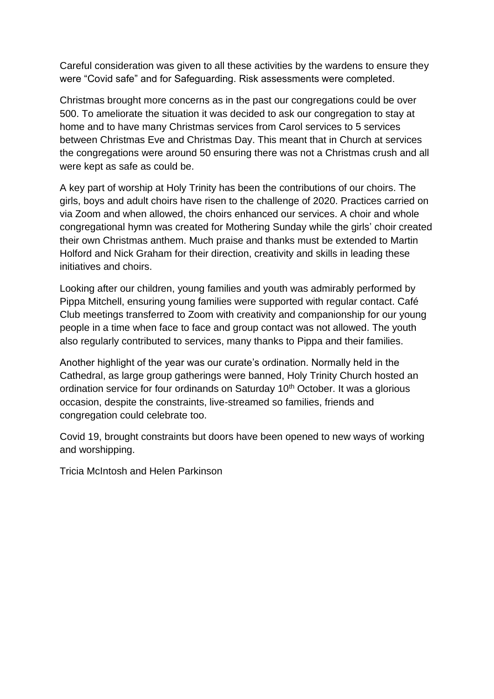Careful consideration was given to all these activities by the wardens to ensure they were "Covid safe" and for Safeguarding. Risk assessments were completed.

Christmas brought more concerns as in the past our congregations could be over 500. To ameliorate the situation it was decided to ask our congregation to stay at home and to have many Christmas services from Carol services to 5 services between Christmas Eve and Christmas Day. This meant that in Church at services the congregations were around 50 ensuring there was not a Christmas crush and all were kept as safe as could be.

A key part of worship at Holy Trinity has been the contributions of our choirs. The girls, boys and adult choirs have risen to the challenge of 2020. Practices carried on via Zoom and when allowed, the choirs enhanced our services. A choir and whole congregational hymn was created for Mothering Sunday while the girls' choir created their own Christmas anthem. Much praise and thanks must be extended to Martin Holford and Nick Graham for their direction, creativity and skills in leading these initiatives and choirs.

Looking after our children, young families and youth was admirably performed by Pippa Mitchell, ensuring young families were supported with regular contact. Café Club meetings transferred to Zoom with creativity and companionship for our young people in a time when face to face and group contact was not allowed. The youth also regularly contributed to services, many thanks to Pippa and their families.

Another highlight of the year was our curate's ordination. Normally held in the Cathedral, as large group gatherings were banned, Holy Trinity Church hosted an ordination service for four ordinands on Saturday 10<sup>th</sup> October. It was a glorious occasion, despite the constraints, live-streamed so families, friends and congregation could celebrate too.

Covid 19, brought constraints but doors have been opened to new ways of working and worshipping.

Tricia McIntosh and Helen Parkinson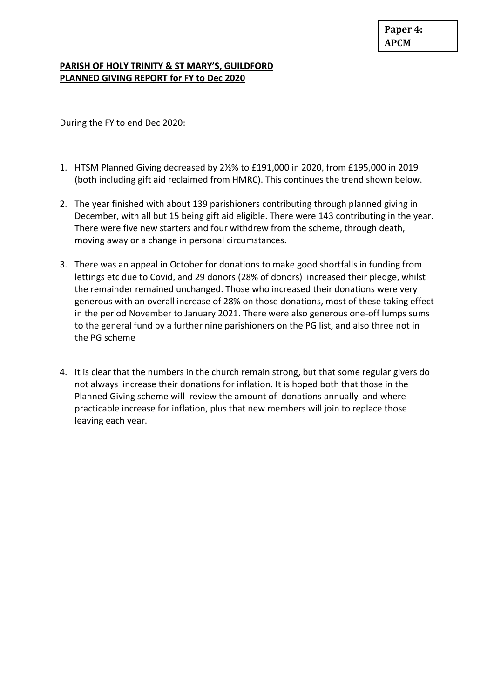#### **PARISH OF HOLY TRINITY & ST MARY'S, GUILDFORD PLANNED GIVING REPORT for FY to Dec 2020**

During the FY to end Dec 2020:

- 1. HTSM Planned Giving decreased by 2½% to £191,000 in 2020, from £195,000 in 2019 (both including gift aid reclaimed from HMRC). This continues the trend shown below.
- 2. The year finished with about 139 parishioners contributing through planned giving in December, with all but 15 being gift aid eligible. There were 143 contributing in the year. There were five new starters and four withdrew from the scheme, through death, moving away or a change in personal circumstances.
- 3. There was an appeal in October for donations to make good shortfalls in funding from lettings etc due to Covid, and 29 donors (28% of donors) increased their pledge, whilst the remainder remained unchanged. Those who increased their donations were very generous with an overall increase of 28% on those donations, most of these taking effect in the period November to January 2021. There were also generous one-off lumps sums to the general fund by a further nine parishioners on the PG list, and also three not in the PG scheme
- 4. It is clear that the numbers in the church remain strong, but that some regular givers do not always increase their donations for inflation. It is hoped both that those in the Planned Giving scheme will review the amount of donations annually and where practicable increase for inflation, plus that new members will join to replace those leaving each year.